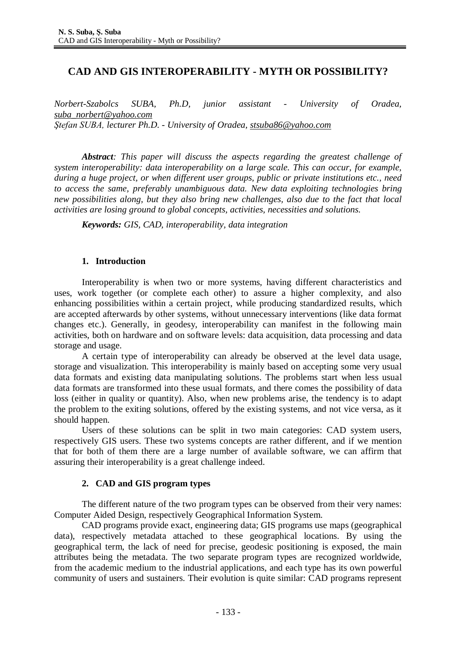# **CAD AND GIS INTEROPERABILITY - MYTH OR POSSIBILITY?**

*Norbert-Szabolcs SUBA, Ph.D, junior assistant - University of Oradea, [suba\\_norbert@yahoo.com](mailto:suba_norbert@yahoo.com) Ştefan SUBA, lecturer Ph.D. - University of Oradea, [stsuba86@yahoo.com](mailto:stsuba86@yahoo.com)*

*Abstract: This paper will discuss the aspects regarding the greatest challenge of system interoperability: data interoperability on a large scale. This can occur, for example, during a huge project, or when different user groups, public or private institutions etc., need to access the same, preferably unambiguous data. New data exploiting technologies bring new possibilities along, but they also bring new challenges, also due to the fact that local activities are losing ground to global concepts, activities, necessities and solutions.*

*Keywords: GIS, CAD, interoperability, data integration*

# **1. Introduction**

Interoperability is when two or more systems, having different characteristics and uses, work together (or complete each other) to assure a higher complexity, and also enhancing possibilities within a certain project, while producing standardized results, which are accepted afterwards by other systems, without unnecessary interventions (like data format changes etc.). Generally, in geodesy, interoperability can manifest in the following main activities, both on hardware and on software levels: data acquisition, data processing and data storage and usage.

A certain type of interoperability can already be observed at the level data usage, storage and visualization. This interoperability is mainly based on accepting some very usual data formats and existing data manipulating solutions. The problems start when less usual data formats are transformed into these usual formats, and there comes the possibility of data loss (either in quality or quantity). Also, when new problems arise, the tendency is to adapt the problem to the exiting solutions, offered by the existing systems, and not vice versa, as it should happen.

Users of these solutions can be split in two main categories: CAD system users, respectively GIS users. These two systems concepts are rather different, and if we mention that for both of them there are a large number of available software, we can affirm that assuring their interoperability is a great challenge indeed.

# **2. CAD and GIS program types**

The different nature of the two program types can be observed from their very names: Computer Aided Design, respectively Geographical Information System.

CAD programs provide exact, engineering data; GIS programs use maps (geographical data), respectively metadata attached to these geographical locations. By using the geographical term, the lack of need for precise, geodesic positioning is exposed, the main attributes being the metadata. The two separate program types are recognized worldwide, from the academic medium to the industrial applications, and each type has its own powerful community of users and sustainers. Their evolution is quite similar: CAD programs represent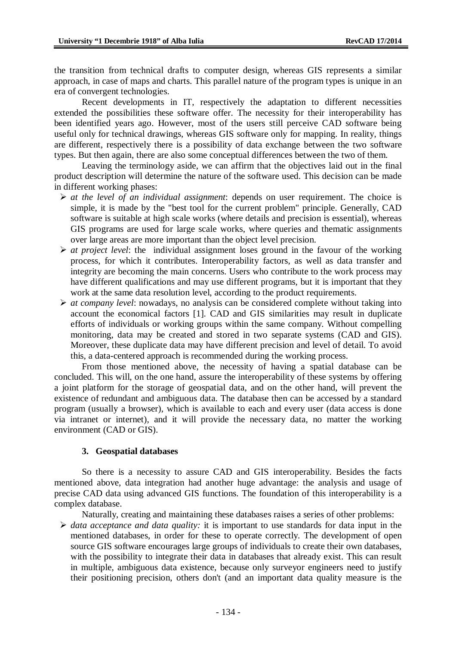the transition from technical drafts to computer design, whereas GIS represents a similar approach, in case of maps and charts. This parallel nature of the program types is unique in an era of convergent technologies.

Recent developments in IT, respectively the adaptation to different necessities extended the possibilities these software offer. The necessity for their interoperability has been identified years ago. However, most of the users still perceive CAD software being useful only for technical drawings, whereas GIS software only for mapping. In reality, things are different, respectively there is a possibility of data exchange between the two software types. But then again, there are also some conceptual differences between the two of them.

Leaving the terminology aside, we can affirm that the objectives laid out in the final product description will determine the nature of the software used. This decision can be made in different working phases:

- $\triangleright$  *at the level of an individual assignment*: depends on user requirement. The choice is simple, it is made by the "best tool for the current problem" principle. Generally, CAD software is suitable at high scale works (where details and precision is essential), whereas GIS programs are used for large scale works, where queries and thematic assignments over large areas are more important than the object level precision.
- $\triangleright$  *at project level*: the individual assignment loses ground in the favour of the working process, for which it contributes. Interoperability factors, as well as data transfer and integrity are becoming the main concerns. Users who contribute to the work process may have different qualifications and may use different programs, but it is important that they work at the same data resolution level, according to the product requirements.
- $\triangleright$  *at company level*: nowadays, no analysis can be considered complete without taking into account the economical factors [1]. CAD and GIS similarities may result in duplicate efforts of individuals or working groups within the same company. Without compelling monitoring, data may be created and stored in two separate systems (CAD and GIS). Moreover, these duplicate data may have different precision and level of detail. To avoid this, a data-centered approach is recommended during the working process.

From those mentioned above, the necessity of having a spatial database can be concluded. This will, on the one hand, assure the interoperability of these systems by offering a joint platform for the storage of geospatial data, and on the other hand, will prevent the existence of redundant and ambiguous data. The database then can be accessed by a standard program (usually a browser), which is available to each and every user (data access is done via intranet or internet), and it will provide the necessary data, no matter the working environment (CAD or GIS).

### **3. Geospatial databases**

So there is a necessity to assure CAD and GIS interoperability. Besides the facts mentioned above, data integration had another huge advantage: the analysis and usage of precise CAD data using advanced GIS functions. The foundation of this interoperability is a complex database.

Naturally, creating and maintaining these databases raises a series of other problems:

 *data acceptance and data quality:* it is important to use standards for data input in the mentioned databases, in order for these to operate correctly. The development of open source GIS software encourages large groups of individuals to create their own databases, with the possibility to integrate their data in databases that already exist. This can result in multiple, ambiguous data existence, because only surveyor engineers need to justify their positioning precision, others don't (and an important data quality measure is the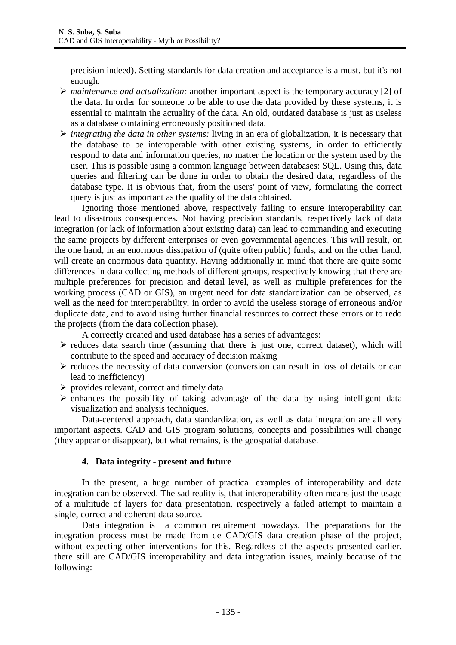precision indeed). Setting standards for data creation and acceptance is a must, but it's not enough.

- *maintenance and actualization:* another important aspect is the temporary accuracy [2] of the data. In order for someone to be able to use the data provided by these systems, it is essential to maintain the actuality of the data. An old, outdated database is just as useless as a database containing erroneously positioned data.
- *integrating the data in other systems:* living in an era of globalization, it is necessary that the database to be interoperable with other existing systems, in order to efficiently respond to data and information queries, no matter the location or the system used by the user. This is possible using a common language between databases: SQL. Using this, data queries and filtering can be done in order to obtain the desired data, regardless of the database type. It is obvious that, from the users' point of view, formulating the correct query is just as important as the quality of the data obtained.

Ignoring those mentioned above, respectively failing to ensure interoperability can lead to disastrous consequences. Not having precision standards, respectively lack of data integration (or lack of information about existing data) can lead to commanding and executing the same projects by different enterprises or even governmental agencies. This will result, on the one hand, in an enormous dissipation of (quite often public) funds, and on the other hand, will create an enormous data quantity. Having additionally in mind that there are quite some differences in data collecting methods of different groups, respectively knowing that there are multiple preferences for precision and detail level, as well as multiple preferences for the working process (CAD or GIS), an urgent need for data standardization can be observed, as well as the need for interoperability, in order to avoid the useless storage of erroneous and/or duplicate data, and to avoid using further financial resources to correct these errors or to redo the projects (from the data collection phase).

A correctly created and used database has a series of advantages:

- $\triangleright$  reduces data search time (assuming that there is just one, correct dataset), which will contribute to the speed and accuracy of decision making
- $\triangleright$  reduces the necessity of data conversion (conversion can result in loss of details or can lead to inefficiency)
- $\triangleright$  provides relevant, correct and timely data
- $\triangleright$  enhances the possibility of taking advantage of the data by using intelligent data visualization and analysis techniques.

Data-centered approach, data standardization, as well as data integration are all very important aspects. CAD and GIS program solutions, concepts and possibilities will change (they appear or disappear), but what remains, is the geospatial database.

# **4. Data integrity - present and future**

In the present, a huge number of practical examples of interoperability and data integration can be observed. The sad reality is, that interoperability often means just the usage of a multitude of layers for data presentation, respectively a failed attempt to maintain a single, correct and coherent data source.

Data integration is a common requirement nowadays. The preparations for the integration process must be made from de CAD/GIS data creation phase of the project, without expecting other interventions for this. Regardless of the aspects presented earlier, there still are CAD/GIS interoperability and data integration issues, mainly because of the following: